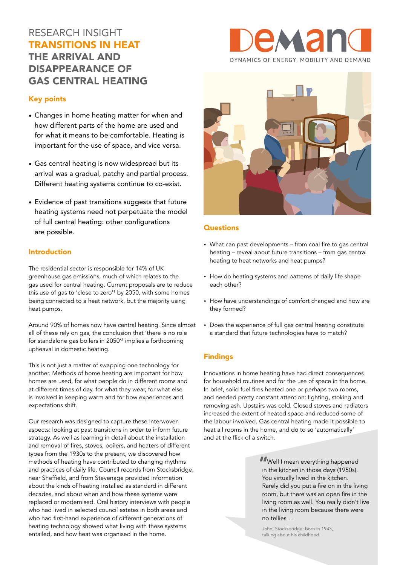# RESEARCH INSIGHT TRANSITIONS IN HEAT THE ARRIVAL AND DISAPPEARANCE OF GAS CENTRAL HEATING



### Key points

- Changes in home heating matter for when and how different parts of the home are used and for what it means to be comfortable. Heating is important for the use of space, and vice versa.
- Gas central heating is now widespread but its arrival was a gradual, patchy and partial process. Different heating systems continue to co-exist.
- Evidence of past transitions suggests that future heating systems need not perpetuate the model of full central heating: other configurations are possible.

### Introduction

The residential sector is responsible for 14% of UK greenhouse gas emissions, much of which relates to the gas used for central heating. Current proposals are to reduce this use of gas to 'close to zero'1 by 2050, with some homes being connected to a heat network, but the majority using heat pumps.

Around 90% of homes now have central heating. Since almost all of these rely on gas, the conclusion that 'there is no role for standalone gas boilers in 2050'2 implies a forthcoming upheaval in domestic heating.

This is not just a matter of swapping one technology for another. Methods of home heating are important for how homes are used, for what people do in different rooms and at different times of day, for what they wear, for what else is involved in keeping warm and for how experiences and expectations shift.

Our research was designed to capture these interwoven aspects: looking at past transitions in order to inform future strategy. As well as learning in detail about the installation and removal of fires, stoves, boilers, and heaters of different types from the 1930s to the present, we discovered how methods of heating have contributed to changing rhythms and practices of daily life. Council records from Stocksbridge, near Sheffield, and from Stevenage provided information about the kinds of heating installed as standard in different decades, and about when and how these systems were replaced or modernised. Oral history interviews with people who had lived in selected council estates in both areas and who had first-hand experience of different generations of heating technology showed what living with these systems entailed, and how heat was organised in the home.



### **Questions**

- What can past developments from coal fire to gas central heating – reveal about future transitions – from gas central heating to heat networks and heat pumps?
- How do heating systems and patterns of daily life shape each other?
- How have understandings of comfort changed and how are they formed?
- Does the experience of full gas central heating constitute a standard that future technologies have to match?

### Findings

Innovations in home heating have had direct consequences for household routines and for the use of space in the home. In brief, solid fuel fires heated one or perhaps two rooms, and needed pretty constant attention: lighting, stoking and removing ash. Upstairs was cold. Closed stoves and radiators increased the extent of heated space and reduced some of the labour involved. Gas central heating made it possible to heat all rooms in the home, and do to so 'automatically' and at the flick of a switch.

> **T**Well I mean everything happened<br>in the kitchen in those davs (1950s). in the kitchen in those days (1950s). You virtually lived in the kitchen. Rarely did you put a fire on in the living room, but there was an open fire in the living room as well. You really didn't live in the living room because there were no tellies …

John, Stocksbridge: born in 1943, talking about his childhood.